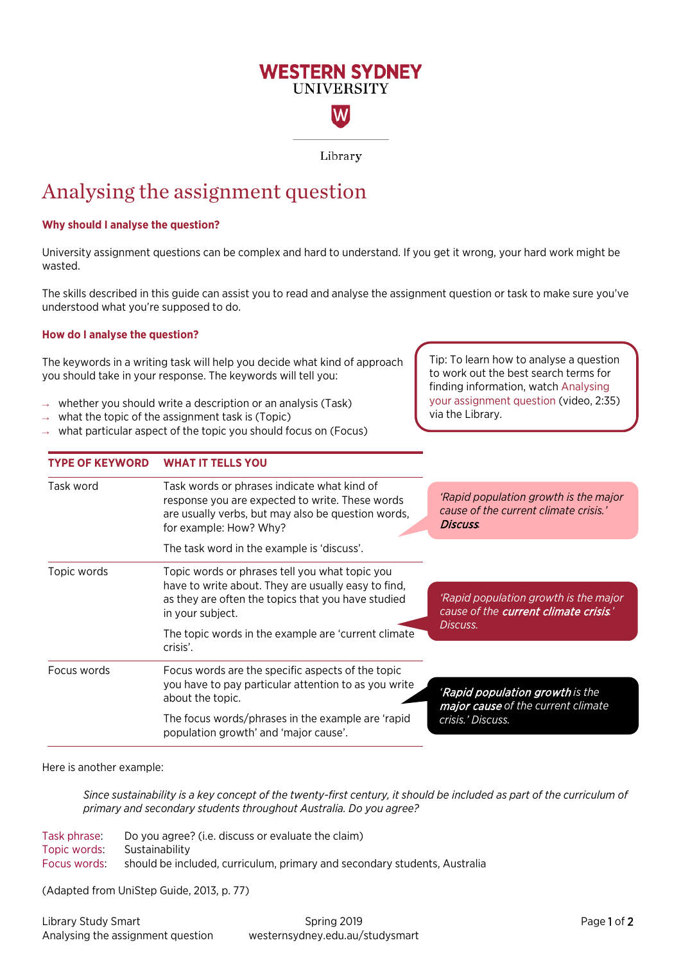# **WESTERN SYDNEY UNIVERSITY**

W

Library

# Analysing the assignment question

## **Why should I analyse the question?**

University assignment questions can be complex and hard to understand. If you get it wrong, your hard work might be wasted.

The skills described in this guide can assist you to read and analyse the assignment question or task to make sure you've understood what you're supposed to do.

## **How do I analyse the question?**

The keywords in a writing task will help you decide what kind of approach you should take in your response. The keywords will tell you:

- whether you should write a description or an analysis (Task)
- what the topic of the assignment task is (Topic)

**TYPE OF KEYWORD WHAT IT TELLS YOU**

what particular aspect of the topic you should focus on (Focus)

Tip: To learn how to analyse a question to work out the best search terms for finding information, watch [Analysing](https://www.youtube.com/watch?v=RtKt-ypvjlU)  [your assignment question](https://www.youtube.com/watch?v=RtKt-ypvjlU) (video, 2:35) via the Library.

| Task word   | Task words or phrases indicate what kind of<br>response you are expected to write. These words<br>are usually verbs, but may also be question words,<br>for example: How? Why? | 'Rapid population growth is the major<br>cause of the current climate crisis.'<br>Discuss. |  |  |
|-------------|--------------------------------------------------------------------------------------------------------------------------------------------------------------------------------|--------------------------------------------------------------------------------------------|--|--|
|             | The task word in the example is 'discuss'.                                                                                                                                     |                                                                                            |  |  |
| Topic words | Topic words or phrases tell you what topic you                                                                                                                                 |                                                                                            |  |  |
|             | have to write about. They are usually easy to find,<br>as they are often the topics that you have studied<br>in your subject.                                                  | 'Rapid population growth is the major<br>cause of the <b>current climate crisis.</b> '     |  |  |
|             | The topic words in the example are 'current climate<br>crisis'.                                                                                                                | Discuss.                                                                                   |  |  |
| Focus words | Focus words are the specific aspects of the topic                                                                                                                              |                                                                                            |  |  |
|             | you have to pay particular attention to as you write<br>about the topic.                                                                                                       | 'Rapid population growth is the<br>major cause of the current climate                      |  |  |
|             | The focus words/phrases in the example are 'rapid<br>population growth' and 'major cause'.                                                                                     | crisis.' Discuss.                                                                          |  |  |
|             |                                                                                                                                                                                |                                                                                            |  |  |

Here is another example:

*Since sustainability is a key concept of the twenty-first century, it should be included as part of the curriculum of primary and secondary students throughout Australia. Do you agree?*

Task phrase: Do you agree? (i.e. discuss or evaluate the claim) Topic words: Sustainability Focus words: should be included, curriculum, primary and secondary students, Australia

(Adapted from UniStep Guide, 2013, p. 77)